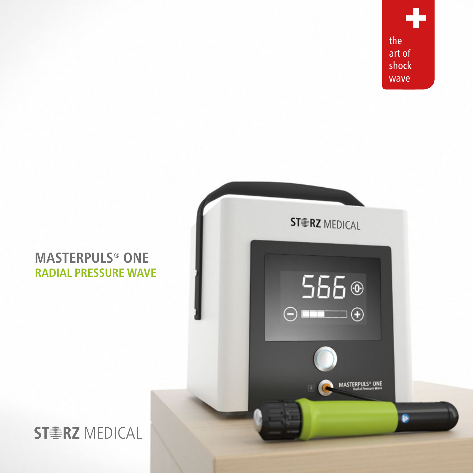+ the art of shock wave



# **MASTERPULS® ONE RADIAL PRESSURE WAVE**

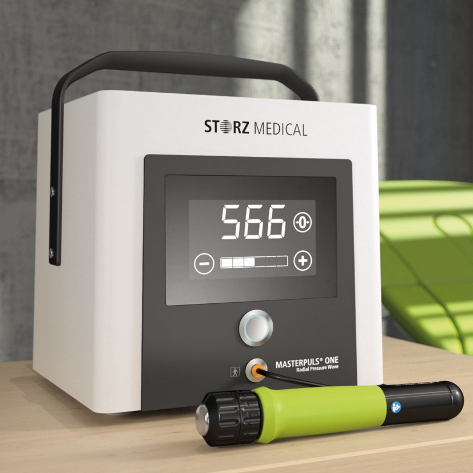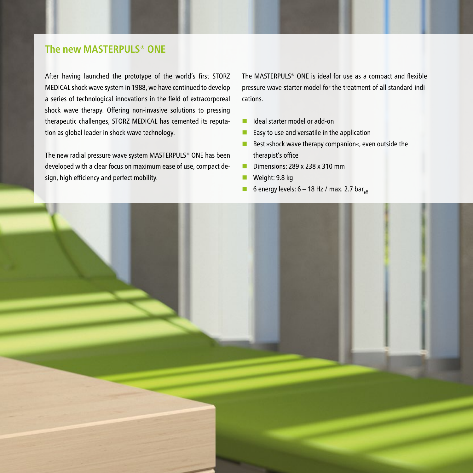#### **The new MASTERPULS® ONE**

After having launched the prototype of the world's first STORZ MEDICAL shock wave system in 1988, we have continued to develop a series of technological innovations in the field of extracorporeal shock wave therapy. Offering non-invasive solutions to pressing therapeutic challenges, STORZ MEDICAL has cemented its reputation as global leader in shock wave technology.

The new radial pressure wave system MASTERPULS® ONE has been developed with a clear focus on maximum ease of use, compact design, high efficiency and perfect mobility.

The MASTERPULS® ONE is ideal for use as a compact and flexible pressure wave starter model for the treatment of all standard indications.

- **n** Ideal starter model or add-on
- $\blacksquare$  Easy to use and versatile in the application
- Best »shock wave therapy companion«, even outside the therapist's office
- Dimensions:  $289 \times 238 \times 310$  mm
- $\blacksquare$  Weight: 9.8 kg
- 6 energy levels:  $6 18$  Hz / max. 2.7 bar

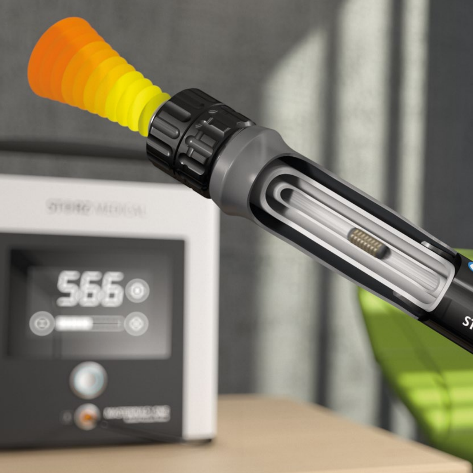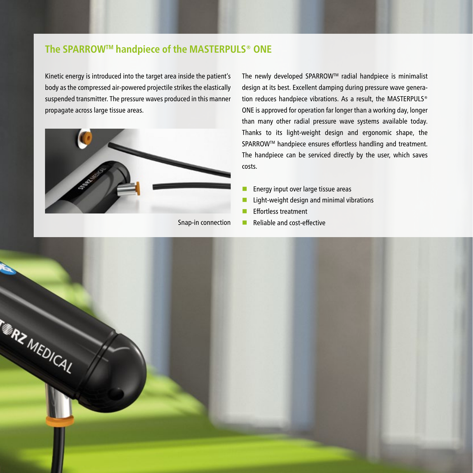## **The SPARROWTM handpiece of the MASTERPULS® ONE**

Kinetic energy is introduced into the target area inside the patient's body as the compressed air-powered projectile strikes the elastically suspended transmitter. The pressure waves produced in this manner propagate across large tissue areas.



The newly developed SPARROWTM radial handpiece is minimalist design at its best. Excellent damping during pressure wave generation reduces handpiece vibrations. As a result, the MASTERPULS® ONE is approved for operation far longer than a working day, longer than many other radial pressure wave systems available today. Thanks to its light-weight design and ergonomic shape, the SPARROW™ handpiece ensures effortless handling and treatment. The handpiece can be serviced directly by the user, which saves costs.

- Energy input over large tissue areas
- Light-weight design and minimal vibrations
- **n** Effortless treatment
- Snap-in connection **n** Reliable and cost-effective

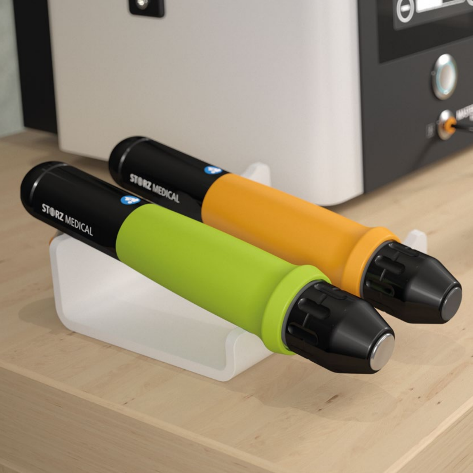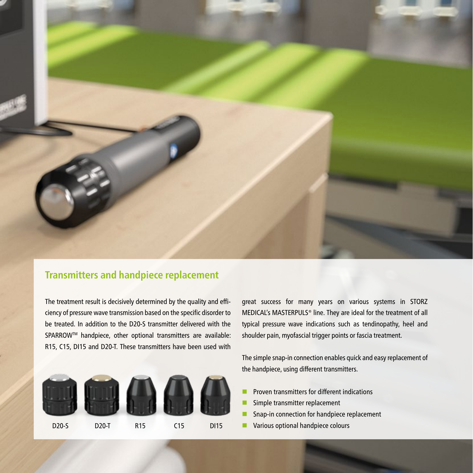

## **Transmitters and handpiece replacement**

The treatment result is decisively determined by the quality and efficiency of pressure wave transmission based on the specific disorder to be treated. In addition to the D20-S transmitter delivered with the SPARROW™ handpiece, other optional transmitters are available: R15, C15, DI15 and D20-T. These transmitters have been used with



great success for many years on various systems in STORZ MEDICAL's MASTERPULS® line. They are ideal for the treatment of all typical pressure wave indications such as tendinopathy, heel and shoulder pain, myofascial trigger points or fascia treatment.

The simple snap-in connection enables quick and easy replacement of the handpiece, using different transmitters.

- $\blacksquare$  Proven transmitters for different indications
- $\blacksquare$  Simple transmitter replacement
- **n** Snap-in connection for handpiece replacement
-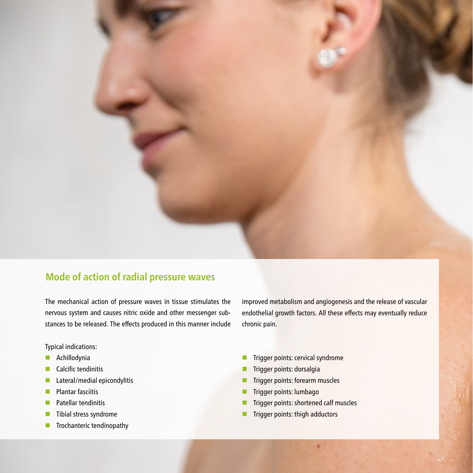

#### **Mode of action of radial pressure waves**

The mechanical action of pressure waves in tissue stimulates the nervous system and causes nitric oxide and other messenger substances to be released. The effects produced in this manner include improved metabolism and angiogenesis and the release of vascular endothelial growth factors. All these effects may eventually reduce chronic pain.

Typical indications:

- $\blacksquare$  Achillodynia
- $\blacksquare$  Calcific tendinitis
- $\blacksquare$  Lateral/medial epicondylitis
- $\blacksquare$  Plantar fasciitis
- $\blacksquare$  Patellar tendinitis
- $\blacksquare$  Tibial stress syndrome
- $\blacksquare$  Trochanteric tendinopathy
- Trigger points: cervical syndrome
- **n** Trigger points: dorsalgia
- **n** Trigger points: forearm muscles
- **n** Trigger points: lumbago
- Trigger points: shortened calf muscles
- $\blacksquare$  Trigger points: thigh adductors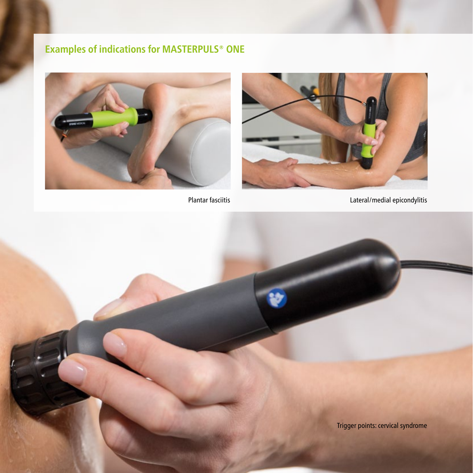## **Examples of indications for MASTERPULS® ONE**





Plantar fasciitis Lateral/medial epicondylitis

Trigger points: cervical syndrome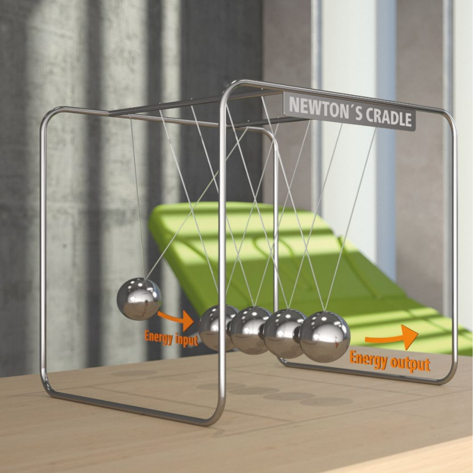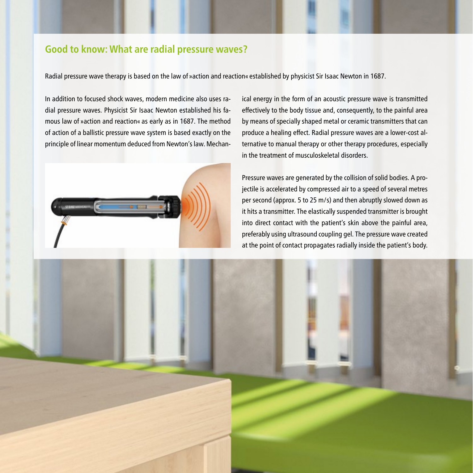### **Good to know: What are radial pressure waves?**

Radial pressure wave therapy is based on the law of »action and reaction« established by physicist Sir Isaac Newton in 1687.

In addition to focused shock waves, modern medicine also uses radial pressure waves. Physicist Sir Isaac Newton established his famous law of »action and reaction« as early as in 1687. The method of action of a ballistic pressure wave system is based exactly on the principle of linear momentum deduced from Newton's law. Mechan-



ical energy in the form of an acoustic pressure wave is transmitted effectively to the body tissue and, consequently, to the painful area by means of specially shaped metal or ceramic transmitters that can produce a healing effect. Radial pressure waves are a lower-cost alternative to manual therapy or other therapy procedures, especially in the treatment of musculoskeletal disorders.

Pressure waves are generated by the collision of solid bodies. A projectile is accelerated by compressed air to a speed of several metres per second (approx. 5 to 25 m/s) and then abruptly slowed down as it hits a transmitter. The elastically suspended transmitter is brought into direct contact with the patient's skin above the painful area, preferably using ultrasound coupling gel. The pressure wave created at the point of contact propagates radially inside the patient's body.